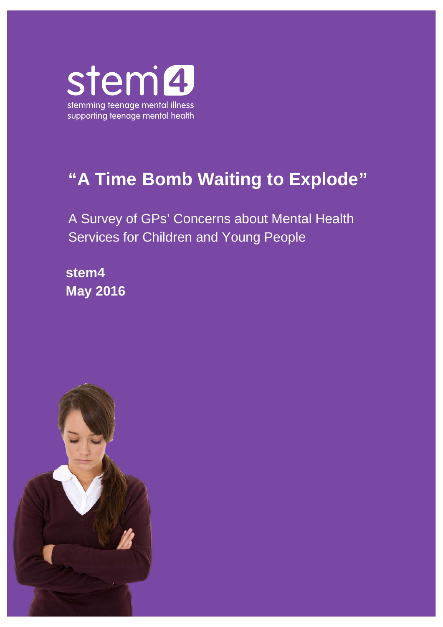

# **"A Time Bomb Waiting to Explode"**

A Survey of GPs' Concerns about Mental Health Services for Children and Young People

**stem4 May 2016**

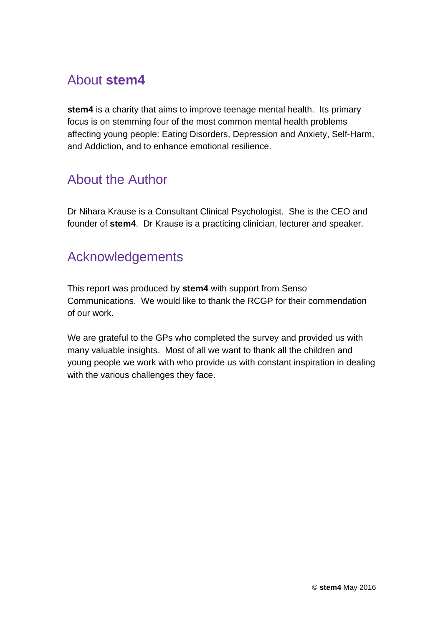# About **stem4**

**stem4** is a charity that aims to improve teenage mental health. Its primary focus is on stemming four of the most common mental health problems affecting young people: Eating Disorders, Depression and Anxiety, Self-Harm, and Addiction, and to enhance emotional resilience.

# About the Author

Dr Nihara Krause is a Consultant Clinical Psychologist. She is the CEO and founder of **stem4**. Dr Krause is a practicing clinician, lecturer and speaker.

### Acknowledgements

This report was produced by **stem4** with support from Senso Communications. We would like to thank the RCGP for their commendation of our work.

We are grateful to the GPs who completed the survey and provided us with many valuable insights. Most of all we want to thank all the children and young people we work with who provide us with constant inspiration in dealing with the various challenges they face.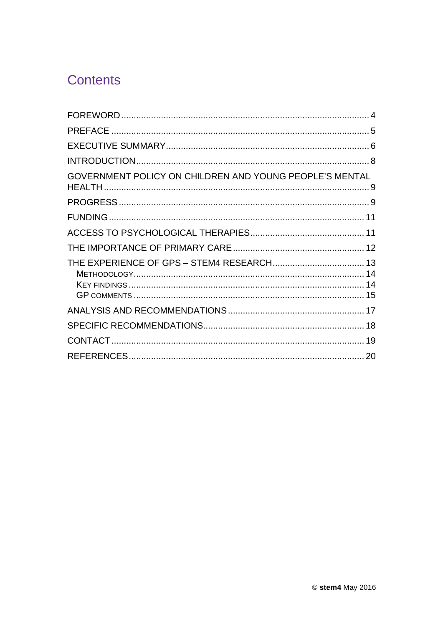# **Contents**

| GOVERNMENT POLICY ON CHILDREN AND YOUNG PEOPLE'S MENTAL |  |
|---------------------------------------------------------|--|
|                                                         |  |
|                                                         |  |
|                                                         |  |
|                                                         |  |
|                                                         |  |
|                                                         |  |
|                                                         |  |
|                                                         |  |
|                                                         |  |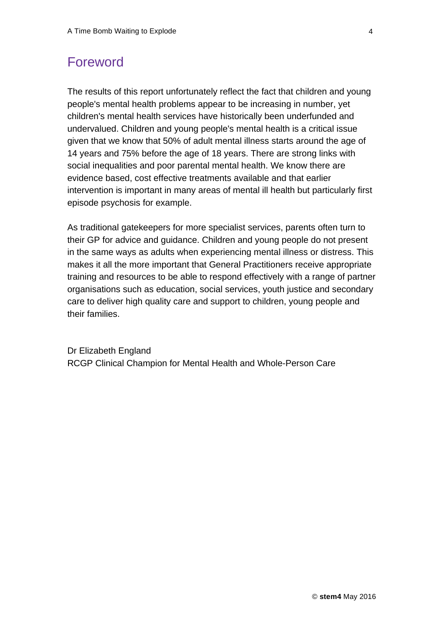### <span id="page-3-0"></span>Foreword

The results of this report unfortunately reflect the fact that children and young people's mental health problems appear to be increasing in number, yet children's mental health services have historically been underfunded and undervalued. Children and young people's mental health is a critical issue given that we know that 50% of adult mental illness starts around the age of 14 years and 75% before the age of 18 years. There are strong links with social inequalities and poor parental mental health. We know there are evidence based, cost effective treatments available and that earlier intervention is important in many areas of mental ill health but particularly first episode psychosis for example.

As traditional gatekeepers for more specialist services, parents often turn to their GP for advice and guidance. Children and young people do not present in the same ways as adults when experiencing mental illness or distress. This makes it all the more important that General Practitioners receive appropriate training and resources to be able to respond effectively with a range of partner organisations such as education, social services, youth justice and secondary care to deliver high quality care and support to children, young people and their families.

Dr Elizabeth England RCGP Clinical Champion for Mental Health and Whole-Person Care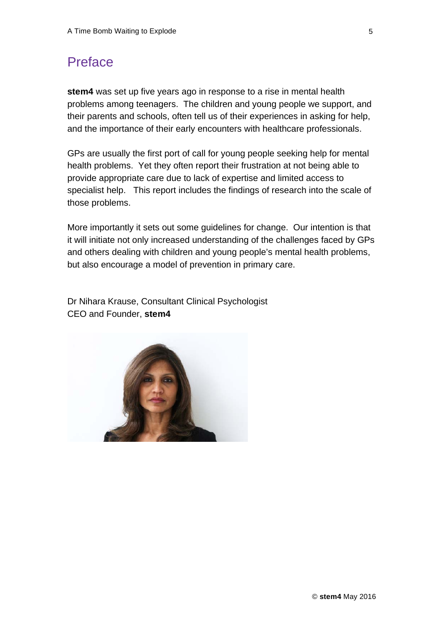### <span id="page-4-0"></span>Preface

**stem4** was set up five years ago in response to a rise in mental health problems among teenagers. The children and young people we support, and their parents and schools, often tell us of their experiences in asking for help, and the importance of their early encounters with healthcare professionals.

GPs are usually the first port of call for young people seeking help for mental health problems. Yet they often report their frustration at not being able to provide appropriate care due to lack of expertise and limited access to specialist help. This report includes the findings of research into the scale of those problems.

More importantly it sets out some guidelines for change. Our intention is that it will initiate not only increased understanding of the challenges faced by GPs and others dealing with children and young people's mental health problems, but also encourage a model of prevention in primary care.

Dr Nihara Krause, Consultant Clinical Psychologist CEO and Founder, **stem4**

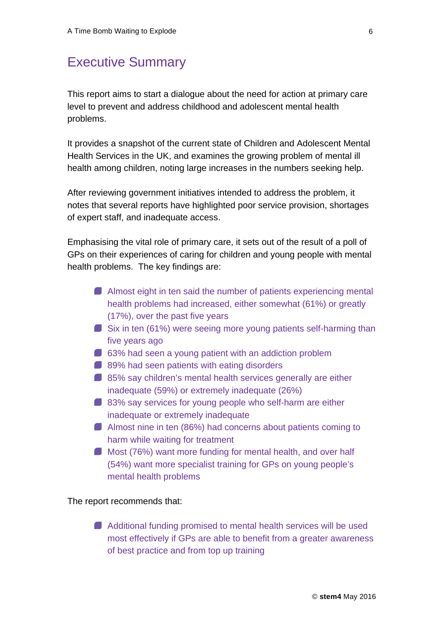### <span id="page-5-0"></span>Executive Summary

This report aims to start a dialogue about the need for action at primary care level to prevent and address childhood and adolescent mental health problems.

It provides a snapshot of the current state of Children and Adolescent Mental Health Services in the UK, and examines the growing problem of mental ill health among children, noting large increases in the numbers seeking help.

After reviewing government initiatives intended to address the problem, it notes that several reports have highlighted poor service provision, shortages of expert staff, and inadequate access.

Emphasising the vital role of primary care, it sets out of the result of a poll of GPs on their experiences of caring for children and young people with mental health problems. The key findings are:

- Almost eight in ten said the number of patients experiencing mental health problems had increased, either somewhat (61%) or greatly (17%), over the past five years
- Six in ten (61%) were seeing more young patients self-harming than five years ago
- 63% had seen a young patient with an addiction problem
- 89% had seen patients with eating disorders
- 85% say children's mental health services generally are either inadequate (59%) or extremely inadequate (26%)
- 83% say services for young people who self-harm are either inadequate or extremely inadequate
- Almost nine in ten (86%) had concerns about patients coming to harm while waiting for treatment
- Most (76%) want more funding for mental health, and over half (54%) want more specialist training for GPs on young people's mental health problems

The report recommends that:

Additional funding promised to mental health services will be used most effectively if GPs are able to benefit from a greater awareness of best practice and from top up training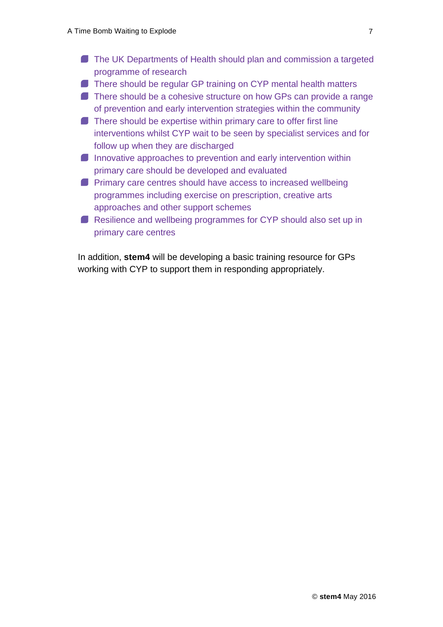- **The UK Departments of Health should plan and commission a targeted** programme of research
- There should be regular GP training on CYP mental health matters
- There should be a cohesive structure on how GPs can provide a range of prevention and early intervention strategies within the community
- **There should be expertise within primary care to offer first line** interventions whilst CYP wait to be seen by specialist services and for follow up when they are discharged
- $\blacksquare$  Innovative approaches to prevention and early intervention within primary care should be developed and evaluated
- **Primary care centres should have access to increased wellbeing** programmes including exercise on prescription, creative arts approaches and other support schemes
- **Resilience and wellbeing programmes for CYP should also set up in** primary care centres

In addition, **stem4** will be developing a basic training resource for GPs working with CYP to support them in responding appropriately.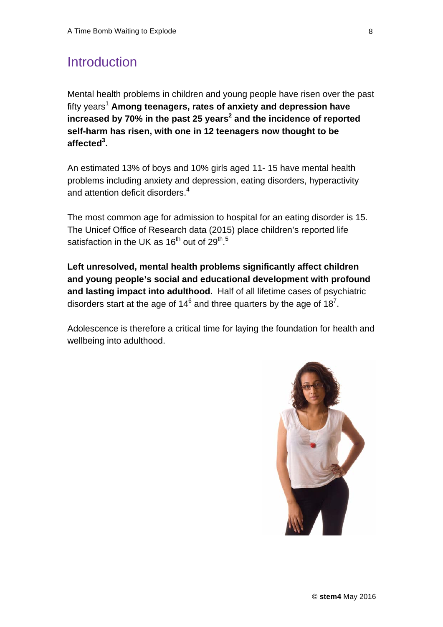### <span id="page-7-0"></span>**Introduction**

Mental health problems in children and young people have risen over the past fifty years<sup>1</sup> Among teenagers, rates of anxiety and depression have **increased** by 70% in the past 25 years<sup>2</sup> and the incidence of reported **self-harm has risen, with one in 12 teenagers now thought to be affected3 .**

An estimated 13% of boys and 10% girls aged 11- 15 have mental health problems including anxiety and depression, eating disorders, hyperactivity and attention deficit disorders.<sup>4</sup>

The most common age for admission to hospital for an eating disorder is 15. The Unicef Office of Research data (2015) place children's reported life satisfaction in the UK as 16<sup>th</sup> out of 29<sup>th</sup>.<sup>5</sup>

**Left unresolved, mental health problems significantly affect children and young people's social and educational development with profound and lasting impact into adulthood.** Half of all lifetime cases of psychiatric disorders start at the age of 14 $^6$  and three quarters by the age of 18<sup>7</sup>.

Adolescence is therefore a critical time for laying the foundation for health and wellbeing into adulthood.

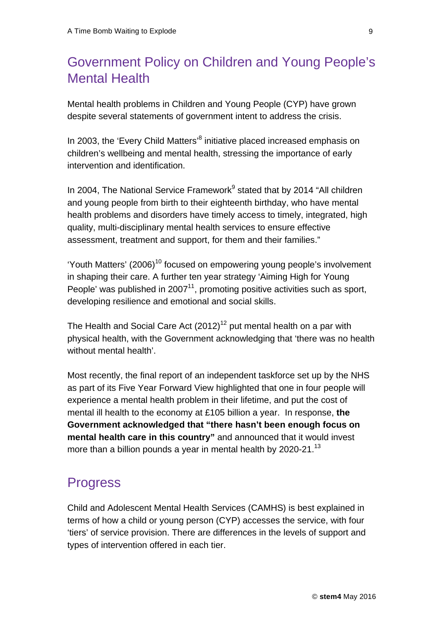## <span id="page-8-0"></span>Government Policy on Children and Young People's Mental Health

Mental health problems in Children and Young People (CYP) have grown despite several statements of government intent to address the crisis.

In 2003, the 'Every Child Matters'<sup>8</sup> initiative placed increased emphasis on children's wellbeing and mental health, stressing the importance of early intervention and identification.

In 2004, The National Service Framework $9$  stated that by 2014 "All children and young people from birth to their eighteenth birthday, who have mental health problems and disorders have timely access to timely, integrated, high quality, multi-disciplinary mental health services to ensure effective assessment, treatment and support, for them and their families."

'Youth Matters' (2006)<sup>10</sup> focused on empowering young people's involvement in shaping their care. A further ten year strategy 'Aiming High for Young People' was published in  $2007<sup>11</sup>$ , promoting positive activities such as sport, developing resilience and emotional and social skills.

The Health and Social Care Act  $(2012)^{12}$  put mental health on a par with physical health, with the Government acknowledging that 'there was no health without mental health'.

Most recently, the final report of an independent taskforce set up by the NHS as part of its Five Year Forward View highlighted that one in four people will experience a mental health problem in their lifetime, and put the cost of mental ill health to the economy at £105 billion a year. In response, **the Government acknowledged that "there hasn't been enough focus on mental health care in this country"** and announced that it would invest more than a billion pounds a year in mental health by 2020-21.<sup>13</sup>

### <span id="page-8-1"></span>**Progress**

Child and Adolescent Mental Health Services (CAMHS) is best explained in terms of how a child or young person (CYP) accesses the service, with four 'tiers' of service provision. There are differences in the levels of support and types of intervention offered in each tier.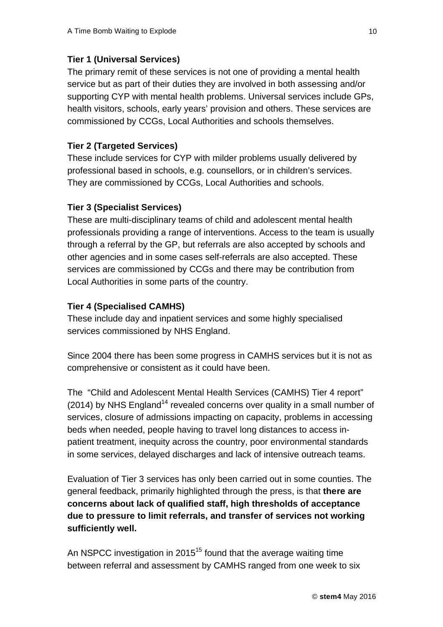#### **Tier 1 (Universal Services)**

The primary remit of these services is not one of providing a mental health service but as part of their duties they are involved in both assessing and/or supporting CYP with mental health problems. Universal services include GPs, health visitors, schools, early years' provision and others. These services are commissioned by CCGs, Local Authorities and schools themselves.

#### **Tier 2 (Targeted Services)**

These include services for CYP with milder problems usually delivered by professional based in schools, e.g. counsellors, or in children's services. They are commissioned by CCGs, Local Authorities and schools.

#### **Tier 3 (Specialist Services)**

These are multi-disciplinary teams of child and adolescent mental health professionals providing a range of interventions. Access to the team is usually through a referral by the GP, but referrals are also accepted by schools and other agencies and in some cases self-referrals are also accepted. These services are commissioned by CCGs and there may be contribution from Local Authorities in some parts of the country.

#### **Tier 4 (Specialised CAMHS)**

These include day and inpatient services and some highly specialised services commissioned by NHS England.

Since 2004 there has been some progress in CAMHS services but it is not as comprehensive or consistent as it could have been.

The "Child and Adolescent Mental Health Services (CAMHS) Tier 4 report" (2014) by NHS England<sup>14</sup> revealed concerns over quality in a small number of services, closure of admissions impacting on capacity, problems in accessing beds when needed, people having to travel long distances to access inpatient treatment, inequity across the country, poor environmental standards in some services, delayed discharges and lack of intensive outreach teams.

Evaluation of Tier 3 services has only been carried out in some counties. The general feedback, primarily highlighted through the press, is that **there are concerns about lack of qualified staff, high thresholds of acceptance due to pressure to limit referrals, and transfer of services not working sufficiently well.**

An NSPCC investigation in 2015<sup>15</sup> found that the average waiting time between referral and assessment by CAMHS ranged from one week to six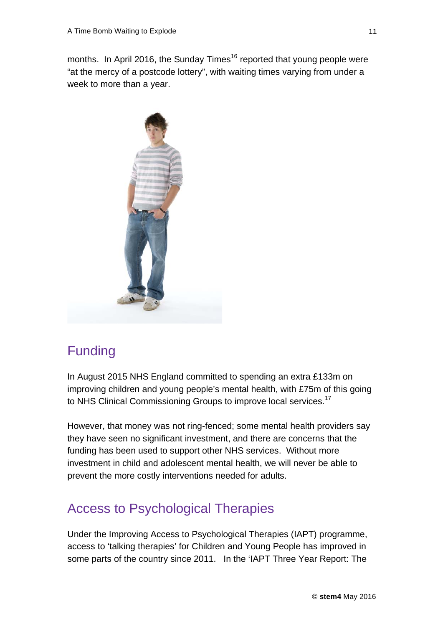months. In April 2016, the Sunday Times<sup>16</sup> reported that young people were "at the mercy of a postcode lottery", with waiting times varying from under a week to more than a year.



### <span id="page-10-0"></span>Funding

In August 2015 NHS England committed to spending an extra £133m on improving children and young people's mental health, with £75m of this going to NHS Clinical Commissioning Groups to improve local services.<sup>17</sup>

However, that money was not ring-fenced; some mental health providers say they have seen no significant investment, and there are concerns that the funding has been used to support other NHS services. Without more investment in child and adolescent mental health, we will never be able to prevent the more costly interventions needed for adults.

### <span id="page-10-1"></span>Access to Psychological Therapies

Under the Improving Access to Psychological Therapies (IAPT) programme, access to 'talking therapies' for Children and Young People has improved in some parts of the country since 2011. In the 'IAPT Three Year Report: The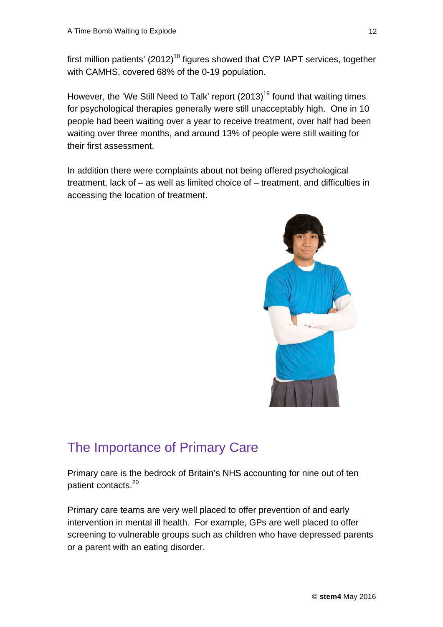first million patients'  $(2012)^{18}$  figures showed that CYP IAPT services, together with CAMHS, covered 68% of the 0-19 population.

However, the 'We Still Need to Talk' report  $(2013)^{19}$  found that waiting times for psychological therapies generally were still unacceptably high. One in 10 people had been waiting over a year to receive treatment, over half had been waiting over three months, and around 13% of people were still waiting for their first assessment.

In addition there were complaints about not being offered psychological treatment, lack of – as well as limited choice of – treatment, and difficulties in accessing the location of treatment.



# <span id="page-11-0"></span>The Importance of Primary Care

Primary care is the bedrock of Britain's NHS accounting for nine out of ten patient contacts.<sup>20</sup>

Primary care teams are very well placed to offer prevention of and early intervention in mental ill health. For example, GPs are well placed to offer screening to vulnerable groups such as children who have depressed parents or a parent with an eating disorder.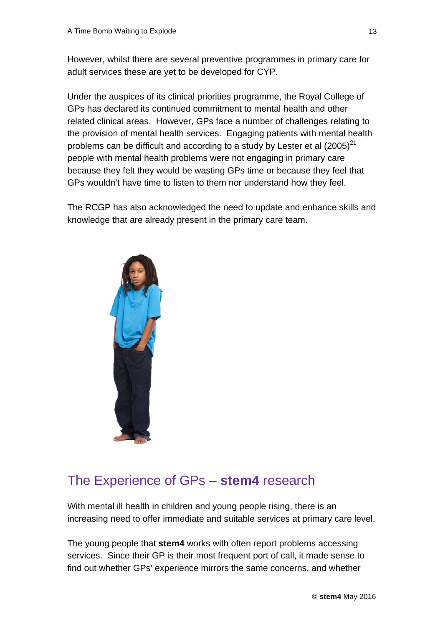However, whilst there are several preventive programmes in primary care for adult services these are yet to be developed for CYP.

Under the auspices of its clinical priorities programme, the Royal College of GPs has declared its continued commitment to mental health and other related clinical areas. However, GPs face a number of challenges relating to the provision of mental health services. Engaging patients with mental health problems can be difficult and according to a study by Lester et al  $(2005)^{21}$ people with mental health problems were not engaging in primary care because they felt they would be wasting GPs time or because they feel that GPs wouldn't have time to listen to them nor understand how they feel.

The RCGP has also acknowledged the need to update and enhance skills and knowledge that are already present in the primary care team.



# <span id="page-12-0"></span>The Experience of GPs – **stem4** research

With mental ill health in children and young people rising, there is an increasing need to offer immediate and suitable services at primary care level.

The young people that **stem4** works with often report problems accessing services. Since their GP is their most frequent port of call, it made sense to find out whether GPs' experience mirrors the same concerns, and whether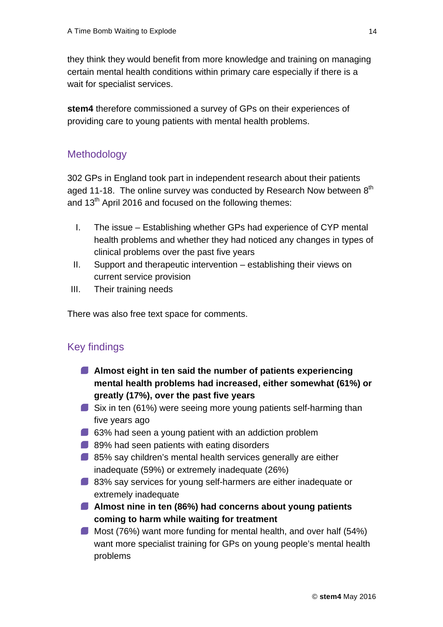they think they would benefit from more knowledge and training on managing certain mental health conditions within primary care especially if there is a wait for specialist services.

**stem4** therefore commissioned a survey of GPs on their experiences of providing care to young patients with mental health problems.

#### <span id="page-13-0"></span>**Methodology**

302 GPs in England took part in independent research about their patients aged 11-18. The online survey was conducted by Research Now between  $8<sup>th</sup>$ and  $13<sup>th</sup>$  April 2016 and focused on the following themes:

- I. The issue Establishing whether GPs had experience of CYP mental health problems and whether they had noticed any changes in types of clinical problems over the past five years
- II. Support and therapeutic intervention establishing their views on current service provision
- III. Their training needs

There was also free text space for comments.

#### <span id="page-13-1"></span>Key findings

- **Almost eight in ten said the number of patients experiencing mental health problems had increased, either somewhat (61%) or greatly (17%), over the past five years**
- Six in ten (61%) were seeing more young patients self-harming than five years ago
- 63% had seen a young patient with an addiction problem
- 89% had seen patients with eating disorders
- **85% say children's mental health services generally are either** inadequate (59%) or extremely inadequate (26%)
- 83% say services for young self-harmers are either inadequate or extremely inadequate
- **Almost nine in ten (86%) had concerns about young patients coming to harm while waiting for treatment**
- Most (76%) want more funding for mental health, and over half (54%) want more specialist training for GPs on young people's mental health problems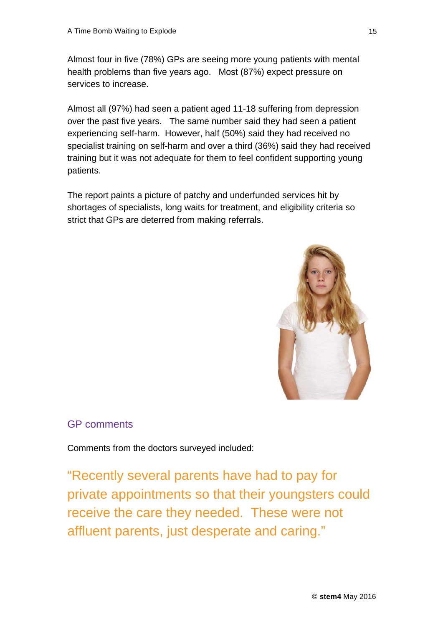Almost four in five (78%) GPs are seeing more young patients with mental health problems than five years ago. Most (87%) expect pressure on services to increase.

Almost all (97%) had seen a patient aged 11-18 suffering from depression over the past five years. The same number said they had seen a patient experiencing self-harm. However, half (50%) said they had received no specialist training on self-harm and over a third (36%) said they had received training but it was not adequate for them to feel confident supporting young patients.

The report paints a picture of patchy and underfunded services hit by shortages of specialists, long waits for treatment, and eligibility criteria so strict that GPs are deterred from making referrals.



#### <span id="page-14-0"></span>GP comments

Comments from the doctors surveyed included:

"Recently several parents have had to pay for private appointments so that their youngsters could receive the care they needed. These were not affluent parents, just desperate and caring."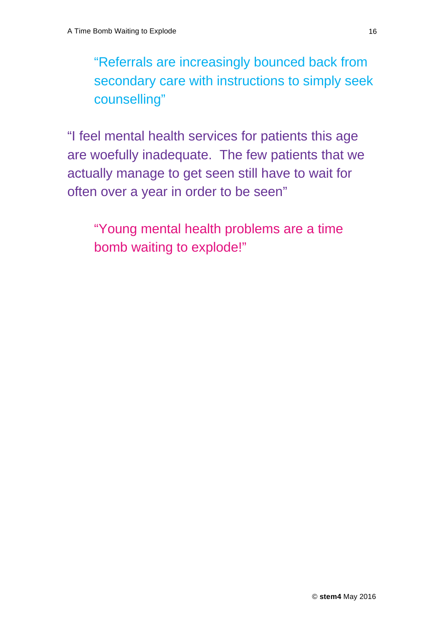"Referrals are increasingly bounced back from secondary care with instructions to simply seek counselling"

"I feel mental health services for patients this age are woefully inadequate. The few patients that we actually manage to get seen still have to wait for often over a year in order to be seen"

"Young mental health problems are a time bomb waiting to explode!"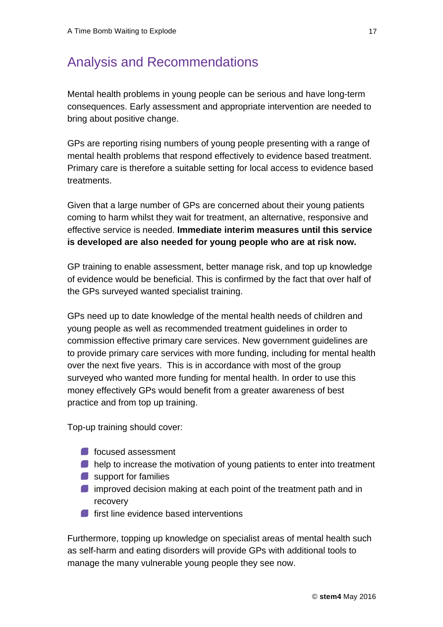### <span id="page-16-0"></span>Analysis and Recommendations

Mental health problems in young people can be serious and have long-term consequences. Early assessment and appropriate intervention are needed to bring about positive change.

GPs are reporting rising numbers of young people presenting with a range of mental health problems that respond effectively to evidence based treatment. Primary care is therefore a suitable setting for local access to evidence based treatments.

Given that a large number of GPs are concerned about their young patients coming to harm whilst they wait for treatment, an alternative, responsive and effective service is needed. **Immediate interim measures until this service is developed are also needed for young people who are at risk now.**

GP training to enable assessment, better manage risk, and top up knowledge of evidence would be beneficial. This is confirmed by the fact that over half of the GPs surveyed wanted specialist training.

GPs need up to date knowledge of the mental health needs of children and young people as well as recommended treatment guidelines in order to commission effective primary care services. New government guidelines are to provide primary care services with more funding, including for mental health over the next five years. This is in accordance with most of the group surveyed who wanted more funding for mental health. In order to use this money effectively GPs would benefit from a greater awareness of best practice and from top up training.

Top-up training should cover:

- **focused assessment**
- **O** help to increase the motivation of young patients to enter into treatment
- support for families
- **I** improved decision making at each point of the treatment path and in recovery
- **first line evidence based interventions**

Furthermore, topping up knowledge on specialist areas of mental health such as self-harm and eating disorders will provide GPs with additional tools to manage the many vulnerable young people they see now.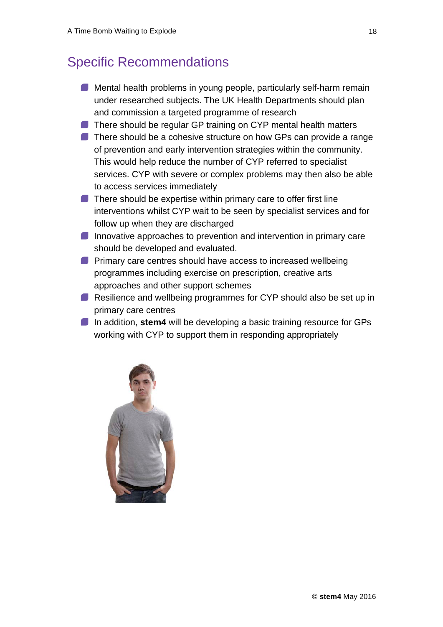### <span id="page-17-0"></span>Specific Recommendations

- **Mental health problems in young people, particularly self-harm remain** under researched subjects. The UK Health Departments should plan and commission a targeted programme of research
- There should be regular GP training on CYP mental health matters
- There should be a cohesive structure on how GPs can provide a range of prevention and early intervention strategies within the community. This would help reduce the number of CYP referred to specialist services. CYP with severe or complex problems may then also be able to access services immediately
- $\blacksquare$  There should be expertise within primary care to offer first line interventions whilst CYP wait to be seen by specialist services and for follow up when they are discharged
- Innovative approaches to prevention and intervention in primary care should be developed and evaluated.
- **Primary care centres should have access to increased wellbeing** programmes including exercise on prescription, creative arts approaches and other support schemes
- Resilience and wellbeing programmes for CYP should also be set up in primary care centres
- In addition, stem4 will be developing a basic training resource for GPs working with CYP to support them in responding appropriately

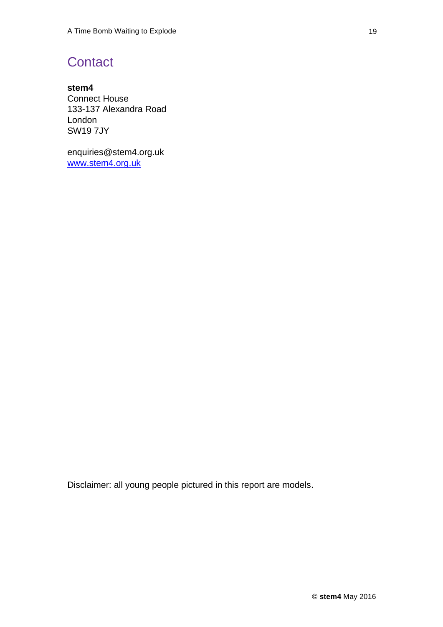### <span id="page-18-0"></span>**Contact**

**stem4** Connect House 133-137 Alexandra Road London SW19 7JY

enquiries@stem4.org.uk [www.stem4.org.uk](http://www.stem4.org.uk)

Disclaimer: all young people pictured in this report are models.